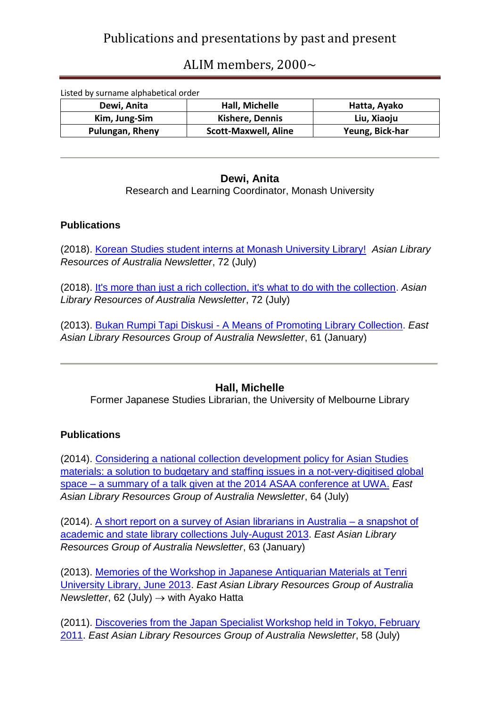## ALIM members, 2000~

| Listed by surname alphabetical order |                             |                 |
|--------------------------------------|-----------------------------|-----------------|
| Dewi, Anita                          | Hall, Michelle              | Hatta, Ayako    |
| Kim, Jung-Sim                        | <b>Kishere, Dennis</b>      | Liu, Xiaoju     |
| Pulungan, Rheny                      | <b>Scott-Maxwell, Aline</b> | Yeung, Bick-har |

### **Dewi, Anita**

Research and Learning Coordinator, Monash University

#### **Publications**

(2018). [Korean Studies student interns at Monash University Library!](http://alra.org.au/newsletter1807/1807_dewi_2.pdf) *Asian Library Resources of Australia Newsletter*, 72 (July)

(2018). [It's more than just a rich collection, it's what to do with the collection.](http://alra.org.au/newsletter1807/1807_dewi_1.pdf) *Asian Library Resources of Australia Newsletter*, 72 (July)

(2013). Bukan Rumpi Tapi Diskusi - [A Means of Promoting Library Collection.](http://alra.org.au/newsletter1301/1301_dewi_1.html) *East Asian Library Resources Group of Australia Newsletter*, 61 (January)

### **Hall, Michelle**

Former Japanese Studies Librarian, the University of Melbourne Library

### **Publications**

(2014). Considering [a national collection development policy for Asian Studies](http://alra.org.au/newsletter1407/1407_hall_1.html)  [materials: a solution to budgetary and staffing issues in a not-very-digitised global](http://alra.org.au/newsletter1407/1407_hall_1.html)  space – [a summary of a talk given at the 2014 ASAA conference at UWA.](http://alra.org.au/newsletter1407/1407_hall_1.html) *East Asian Library Resources Group of Australia Newsletter*, 64 (July)

(2014). [A short report on a survey of Asian librarians in Australia –](http://alra.org.au/newsletter1401/1401_hall_1.html) a snapshot of [academic and state library collections July-August 2013.](http://alra.org.au/newsletter1401/1401_hall_1.html) *East Asian Library Resources Group of Australia Newsletter*, 63 (January)

(2013). [Memories of the Workshop in Japanese Antiquarian Materials at Tenri](http://alra.org.au/newsletter1307/1307_hall_1.html)  [University Library, June 2013.](http://alra.org.au/newsletter1307/1307_hall_1.html) *East Asian Library Resources Group of Australia Newsletter,* 62 (July)  $\rightarrow$  with Ayako Hatta

(2011). [Discoveries from the Japan Specialist Workshop held in Tokyo, February](http://alra.org.au/newsletter1107/1107_hall.html)  [2011.](http://alra.org.au/newsletter1107/1107_hall.html) *East Asian Library Resources Group of Australia Newsletter*, 58 (July)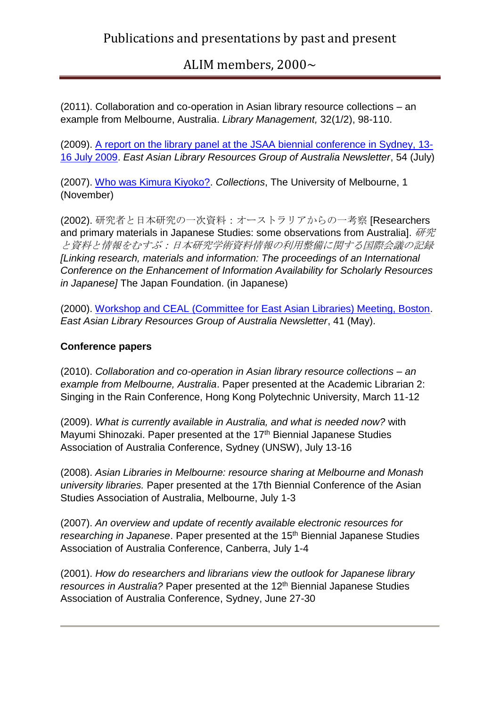(2011). Collaboration and co-operation in Asian library resource collections – an example from Melbourne, Australia. *Library Management,* 32(1/2), 98-110.

(2009). [A report on the library panel at the JSAA biennial conference in Sydney, 13-](http://alra.org.au/newsletter0907/0907_hall.html) [16 July 2009.](http://alra.org.au/newsletter0907/0907_hall.html) *East Asian Library Resources Group of Australia Newsletter*, 54 (July)

(2007). [Who was Kimura Kiyoko?.](http://www.unimelb.edu.au/culturalcollections/research/collections1/hall.pdf) *Collections*, The University of Melbourne, 1 (November)

(2002). 研究者と日本研究の一次資料:オーストラリアからの一考察 [Researchers and primary materials in Japanese Studies: some observations from Australial.  $H\ddot{H}$ と資料と情報をむすぶ:日本研究学術資料情報の利用整備に関する国際会議の記録 *[Linking research, materials and information: The proceedings of an International Conference on the Enhancement of Information Availability for Scholarly Resources in Japanese]* The Japan Foundation. (in Japanese)

(2000). [Workshop and CEAL \(Committee for East Asian Libraries\) Meeting, Boston.](http://alra.org.au/newsletters00/0005.hall.pdf) *East Asian Library Resources Group of Australia Newsletter*, 41 (May).

### **Conference papers**

(2010). *Collaboration and co-operation in Asian library resource collections – an example from Melbourne, Australia*. Paper presented at the Academic Librarian 2: Singing in the Rain Conference, Hong Kong Polytechnic University, March 11-12

(2009). *What is currently available in Australia, and what is needed now?* with Mayumi Shinozaki. Paper presented at the 17<sup>th</sup> Biennial Japanese Studies Association of Australia Conference, Sydney (UNSW), July 13-16

(2008). *Asian Libraries in Melbourne: resource sharing at Melbourne and Monash university libraries.* Paper presented at the 17th Biennial Conference of the Asian Studies Association of Australia, Melbourne, July 1-3

(2007). *An overview and update of recently available electronic resources for researching in Japanese*. Paper presented at the 15<sup>th</sup> Biennial Japanese Studies Association of Australia Conference, Canberra, July 1-4

(2001). *How do researchers and librarians view the outlook for Japanese library resources in Australia?* Paper presented at the 12<sup>th</sup> Biennial Japanese Studies Association of Australia Conference, Sydney, June 27-30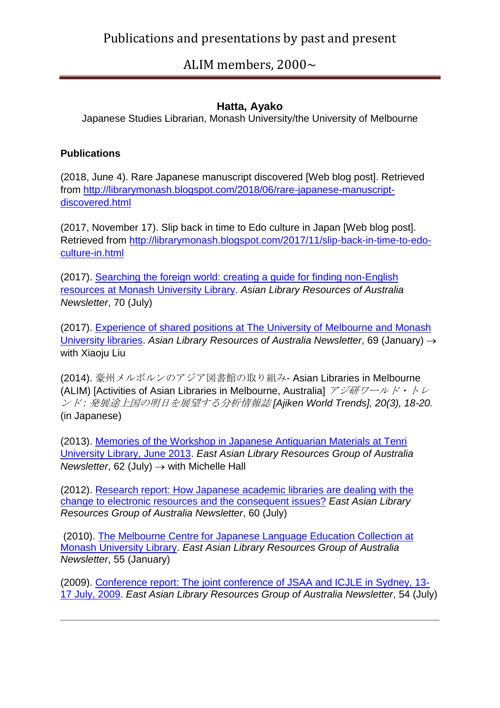### **Hatta, Ayako**

Japanese Studies Librarian, Monash University/the University of Melbourne

### **Publications**

(2018, June 4). Rare Japanese manuscript discovered [Web blog post]. Retrieved from [http://librarymonash.blogspot.com/2018/06/rare-japanese-manuscript](http://librarymonash.blogspot.com/2018/06/rare-japanese-manuscript-discovered.html)[discovered.html](http://librarymonash.blogspot.com/2018/06/rare-japanese-manuscript-discovered.html)

(2017, November 17). Slip back in time to Edo culture in Japan [Web blog post]. Retrieved from [http://librarymonash.blogspot.com/2017/11/slip-back-in-time-to-edo](http://librarymonash.blogspot.com/2017/11/slip-back-in-time-to-edo-culture-in.html)[culture-in.html](http://librarymonash.blogspot.com/2017/11/slip-back-in-time-to-edo-culture-in.html)

(2017). Searching [the foreign world: creating a guide for finding non-English](http://alra.org.au/newsletter1707/1707_hatta_1.html)  [resources at Monash University Library.](http://alra.org.au/newsletter1707/1707_hatta_1.html) *Asian Library Resources of Australia Newsletter*, 70 (July)

(2017). [Experience of shared positions at The University of Melbourne and Monash](http://alra.org.au/newsletter1701/1701_hatta_1.html)  [University libraries.](http://alra.org.au/newsletter1701/1701_hatta_1.html) *Asian Library Resources of Australia Newsletter*, 69 (January) with Xiaoju Liu

(2014). 豪州メルボルンのアジア図書館の取り組み- Asian Libraries in Melbourne (ALIM) [Activities of Asian Libraries in Melbourne, Australia]  $\mathcal{F} \mathcal{F} \mathcal{F} \mathcal{F} \rightarrow \mathcal{F} \rightarrow \mathcal{F}$ ンド *:* 発展途上国の明日を展望する分析情報誌 *[Ajiken World Trends], 20(3), 18-20.*  (in Japanese)

(2013). [Memories of the Workshop in Japanese Antiquarian Materials at Tenri](http://alra.org.au/newsletter1307/1307_hall_1.html)  [University Library, June 2013.](http://alra.org.au/newsletter1307/1307_hall_1.html) *East Asian Library Resources Group of Australia Newsletter*, 62 (July)  $\rightarrow$  with Michelle Hall

(2012). [Research report: How Japanese academic libraries are dealing with the](http://alra.org.au/newsletter1207/1202_hatta.html)  [change to electronic resources and the consequent issues?](http://alra.org.au/newsletter1207/1202_hatta.html) *East Asian Library Resources Group of Australia Newsletter*, 60 (July)

(2010). [The Melbourne Centre for Japanese Language Education Collection at](http://alra.org.au/newsletter1001/1001_hatta.html)  [Monash University Library.](http://alra.org.au/newsletter1001/1001_hatta.html) *East Asian Library Resources Group of Australia Newsletter*, 55 (January)

(2009). [Conference report: The joint conference of JSAA and ICJLE in Sydney, 13-](http://alra.org.au/newsletter0907/0907_hatta.html) [17 July, 2009.](http://alra.org.au/newsletter0907/0907_hatta.html) *East Asian Library Resources Group of Australia Newsletter*, 54 (July)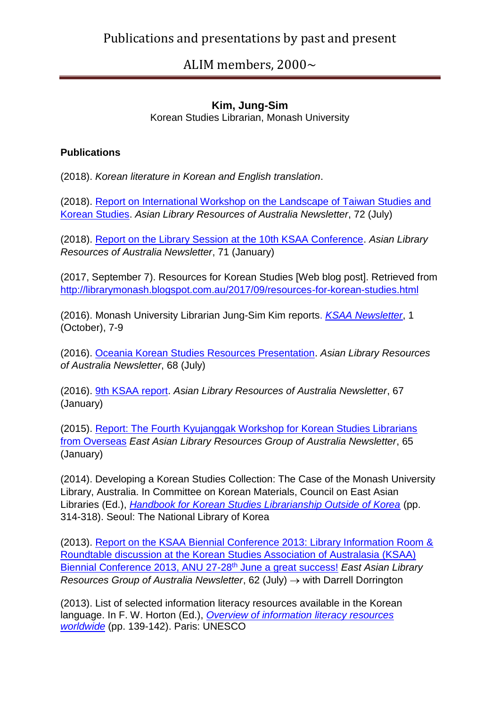### **Kim, Jung-Sim**

Korean Studies Librarian, Monash University

### **Publications**

(2018). *Korean literature in Korean and English translation*.

(2018). [Report on International Workshop on the Landscape of Taiwan Studies and](http://alra.org.au/newsletter1807/1807_kim_1.pdf)  [Korean Studies.](http://alra.org.au/newsletter1807/1807_kim_1.pdf) *Asian Library Resources of Australia Newsletter*, 72 (July)

(2018). [Report on the Library Session at the 10th KSAA Conference.](http://alra.org.au/newsletter1801/1801_kim_1.pdf) *Asian Library Resources of Australia Newsletter*, 71 (January)

(2017, September 7). Resources for Korean Studies [Web blog post]. Retrieved from <http://librarymonash.blogspot.com.au/2017/09/resources-for-korean-studies.html>

(2016). [Monash](http://alra.org.au/newsletter1607/1607_kim_1.html) University Librarian Jung-Sim Kim reports. *[KSAA Newsletter](https://koreanstudiesaa.files.wordpress.com/2017/06/ksaa-news-1.pdf)*, 1 (October), 7-9

(2016). [Oceania Korean Studies Resources Presentation.](http://alra.org.au/newsletter1607/1607_kim_1.html) *Asian Library Resources of Australia Newsletter*, 68 (July)

(2016). [9th KSAA report.](http://alra.org.au/newsletter1601/1601_kim_1.html) *Asian Library Resources of Australia Newsletter*, 67 (January)

(2015). [Report: The Fourth Kyujanggak Workshop for Korean Studies Librarians](http://alra.org.au/newsletter1501/1501_kim_1.html)  [from Overseas](http://alra.org.au/newsletter1501/1501_kim_1.html) *East Asian Library Resources Group of Australia Newsletter*, 65 (January)

(2014). Developing a Korean Studies Collection: The Case of the Monash University Library, Australia. In Committee on Korean Materials, Council on East Asian Libraries (Ed.), *[Handbook for Korean Studies Librarianship Outside of Korea](http://www.nl.go.kr/inkslib/eng/index.php?url=/data/download/572)* (pp. 314-318). Seoul: The National Library of Korea

(2013). [Report on the KSAA Biennial Conference 2013: Library Information Room &](http://alra.org.au/newsletter1307/1307_kim_1.html)  [Roundtable discussion at the Korean Studies Association of Australasia \(KSAA\)](http://alra.org.au/newsletter1307/1307_kim_1.html)  [Biennial Conference 2013, ANU 27-28](http://alra.org.au/newsletter1307/1307_kim_1.html)th June a great success! *East Asian Library Resources Group of Australia Newsletter, 62 (July)*  $\rightarrow$  *with Darrell Dorrington* 

(2013). List of selected information literacy resources available in the Korean language. In F. W. Horton (Ed.), *[Overview of information literacy resources](http://www.unesco.org/new/fileadmin/MULTIMEDIA/HQ/CI/CI/pdf/news/overview_info_lit_resources.pdf)  [worldwide](http://www.unesco.org/new/fileadmin/MULTIMEDIA/HQ/CI/CI/pdf/news/overview_info_lit_resources.pdf)* (pp. 139-142). Paris: UNESCO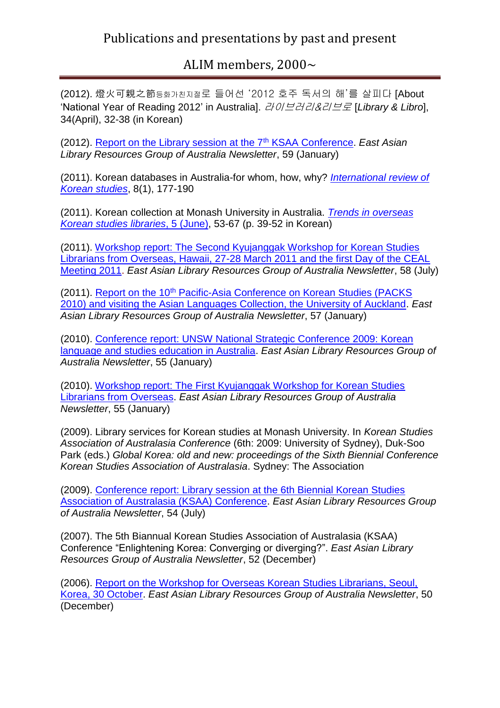(2012). 燈火可親之節등화가친지절로 들어선 '2012 호주 독서의 해'를 살피다 [About 'National Year of Reading 2012' in Australia]. 라이브러리&리브로 [*Library & Libro*], 34(April), 32-38 (in Korean)

(2012). [Report on the Library session at the 7](http://alra.org.au/newsletter1201/1201_kim.html)th KSAA Conference. *East Asian Library Resources Group of Australia Newsletter*, 59 (January)

(2011). Korean databases in Australia-for whom, how, why? *[International review of](http://search.lib.monash.edu/MON:catau21144106430001751)  [Korean studies](http://search.lib.monash.edu/MON:catau21144106430001751)*, 8(1), 177-190

(2011). Korean collection at Monash University in Australia. *[Trends in overseas](http://www.nl.go.kr/inkslib/eng/index.php?url=/fore_move/view/583)  [Korean studies libraries](http://www.nl.go.kr/inkslib/eng/index.php?url=/fore_move/view/583)*, 5 (June), 53-67 (p. 39-52 in Korean)

(2011). [Workshop report: The Second Kyujanggak Workshop for Korean Studies](http://alra.org.au/newsletter1107/1107_kim.html)  [Librarians from Overseas, Hawaii, 27-28 March 2011 and the first Day of the CEAL](http://alra.org.au/newsletter1107/1107_kim.html)  [Meeting 2011.](http://alra.org.au/newsletter1107/1107_kim.html) *East Asian Library Resources Group of Australia Newsletter*, 58 (July)

(2011). Report on the 10<sup>th</sup> Pacific-Asia Conference on Korean Studies (PACKS) [2010\) and visiting the Asian Languages Collection, the University of Auckland.](http://alra.org.au/newsletter1101/1101_kim.html) *East Asian Library Resources Group of Australia Newsletter*, 57 (January)

(2010). [Conference report: UNSW National Strategic Conference 2009: Korean](http://alra.org.au/newsletter1001/1001_jungsimkim_2.html)  [language and studies education in Australia.](http://alra.org.au/newsletter1001/1001_jungsimkim_2.html) *East Asian Library Resources Group of Australia Newsletter*, 55 (January)

(2010). [Workshop report: The First Kyujanggak Workshop for Korean Studies](http://www.ealrga.org.au/newsletter1001/1001_jungsimkim_1.html)  [Librarians from Overseas.](http://www.ealrga.org.au/newsletter1001/1001_jungsimkim_1.html) *East Asian Library Resources Group of Australia Newsletter*, 55 (January)

(2009). Library services for Korean studies at Monash University. In *Korean Studies Association of Australasia Conference* (6th: 2009: University of Sydney), Duk-Soo Park (eds.) *Global Korea: old and new: proceedings of the Sixth Biennial Conference Korean Studies Association of Australasia*. Sydney: The Association

(2009). [Conference report: Library session at the 6th Biennial Korean Studies](http://alra.org.au/newsletter0907/0907_jkim.html) [Association of Australasia \(KSAA\) Conference.](http://alra.org.au/newsletter0907/0907_jkim.html) *East Asian Library Resources Group of Australia Newsletter*, 54 (July)

(2007). The 5th Biannual Korean Studies Association of Australasia (KSAA) Conference "Enlightening Korea: Converging or diverging?". *East Asian Library Resources Group of Australia Newsletter*, 52 (December)

(2006). [Report on the Workshop for Overseas Korean Studies Librarians, Seoul,](http://alra.org.au/newsletter0612/0612.Kim.html)  [Korea, 30 October.](http://alra.org.au/newsletter0612/0612.Kim.html) *East Asian Library Resources Group of Australia Newsletter*, 50 (December)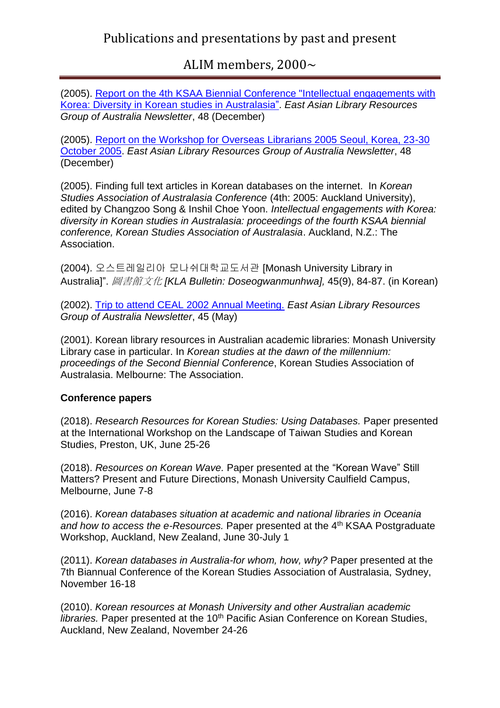(2005). [Report on the 4th KSAA Biennial Conference "Intellectual engagements with](http://alra.org.au/newsletter0512/Kim.html)  [Korea: Diversity in Korean studies in Australasia".](http://alra.org.au/newsletter0512/Kim.html) *East Asian Library Resources Group of Australia Newsletter*, 48 (December)

(2005). [Report on the Workshop for Overseas Librarians 2005 Seoul, Korea, 23-30](http://alra.org.au/newsletter0512/Kim.html)  [October 2005.](http://alra.org.au/newsletter0512/Kim.html) *East Asian Library Resources Group of Australia Newsletter*, 48 (December)

(2005). Finding full text articles in Korean databases on the internet. In *Korean Studies Association of Australasia Conference* (4th: 2005: Auckland University), edited by Changzoo Song & Inshil Choe Yoon. *Intellectual engagements with Korea: diversity in Korean studies in Australasia: proceedings of the fourth KSAA biennial conference, Korean Studies Association of Australasia*. Auckland, N.Z.: The Association.

(2004). 오스트레일리아 모나쉬대학교도서관 [Monash University Library in Australia]". 圖書館文化 *[KLA Bulletin: Doseogwanmunhwa],* 45(9), 84-87. (in Korean)

(2002). [Trip to attend CEAL 2002 Annual Meeting.](http://www.alra.org.au/newsletters02/0205.Kim.pdf) *East Asian Library Resources Group of Australia Newsletter*, 45 (May)

(2001). Korean library resources in Australian academic libraries: Monash University Library case in particular. In *Korean studies at the dawn of the millennium: proceedings of the Second Biennial Conference*, Korean Studies Association of Australasia. Melbourne: The Association.

### **Conference papers**

(2018). *Research Resources for Korean Studies: Using Databases.* Paper presented at the International Workshop on the Landscape of Taiwan Studies and Korean Studies, Preston, UK, June 25-26

(2018). *Resources on Korean Wave.* Paper presented at the "Korean Wave" Still Matters? Present and Future Directions, Monash University Caulfield Campus, Melbourne, June 7-8

(2016). *Korean databases situation at academic and national libraries in Oceania*  and how to access the e-Resources. Paper presented at the 4<sup>th</sup> KSAA Postgraduate Workshop, Auckland, New Zealand, June 30-July 1

(2011). *Korean databases in Australia-for whom, how, why?* Paper presented at the 7th Biannual Conference of the Korean Studies Association of Australasia, Sydney, November 16-18

(2010). *Korean resources at Monash University and other Australian academic libraries.* Paper presented at the 10<sup>th</sup> Pacific Asian Conference on Korean Studies, Auckland, New Zealand, November 24-26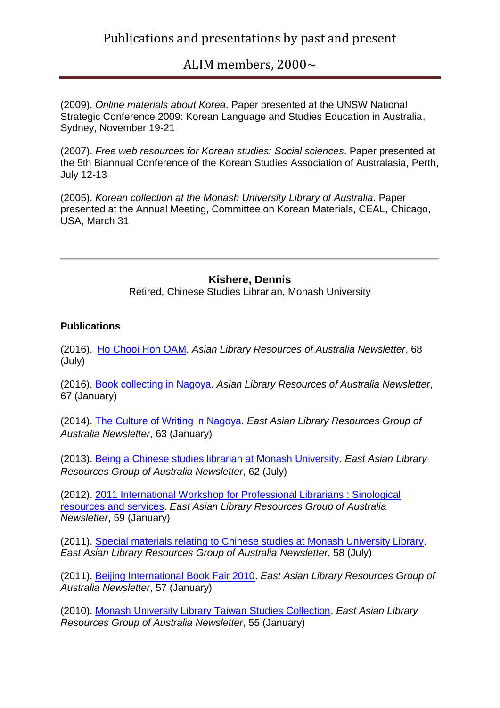(2009). *Online materials about Korea*. Paper presented at the UNSW National Strategic Conference 2009: Korean Language and Studies Education in Australia, Sydney, November 19-21

(2007). *Free web resources for Korean studies: Social sciences*. Paper presented at the 5th Biannual Conference of the Korean Studies Association of Australasia, Perth, July 12-13

(2005). *Korean collection at the Monash University Library of Australia*. Paper presented at the Annual Meeting, Committee on Korean Materials, CEAL, Chicago, USA, March 31

**Kishere, Dennis**

Retired, Chinese Studies Librarian, Monash University

### **Publications**

(2016). [Ho Chooi Hon OAM.](http://alra.org.au/newsletter1607/1607_kim_1.html) *Asian Library Resources of Australia Newsletter*, 68 (July)

(2016). [Book collecting in Nagoya.](http://alra.org.au/newsletter1601/1601_kishere.html) *Asian Library Resources of Australia Newsletter*, 67 (January)

(2014). The [Culture of Writing in Nagoya.](http://alra.org.au/newsletter1401/1401_kishere_1.html) *East Asian Library Resources Group of Australia Newsletter*, 63 (January)

(2013). [Being a Chinese studies librarian at Monash University.](http://alra.org.au/newsletter1307/1307_kishere_1.html) *East Asian Library Resources Group of Australia Newsletter*, 62 (July)

(2012). [2011 International Workshop for Professional Librarians : Sinological](http://alra.org.au/newsletter1201/1201_kishere.html)  [resources and services.](http://alra.org.au/newsletter1201/1201_kishere.html) *East Asian Library Resources Group of Australia Newsletter*, 59 (January)

(2011). [Special materials relating to Chinese studies at Monash University Library.](http://alra.org.au/newsletter1107/1107_kishere.html) *East Asian Library Resources Group of Australia Newsletter*, 58 (July)

(2011). [Beijing International Book Fair 2010.](http://alra.org.au/newsletter1101/1101_kishere.html) *East Asian Library Resources Group of Australia Newsletter*, 57 (January)

(2010). [Monash University Library Taiwan Studies Collection,](http://alra.org.au/newsletter1001/1001_kishere.html) *East Asian Library Resources Group of Australia Newsletter*, 55 (January)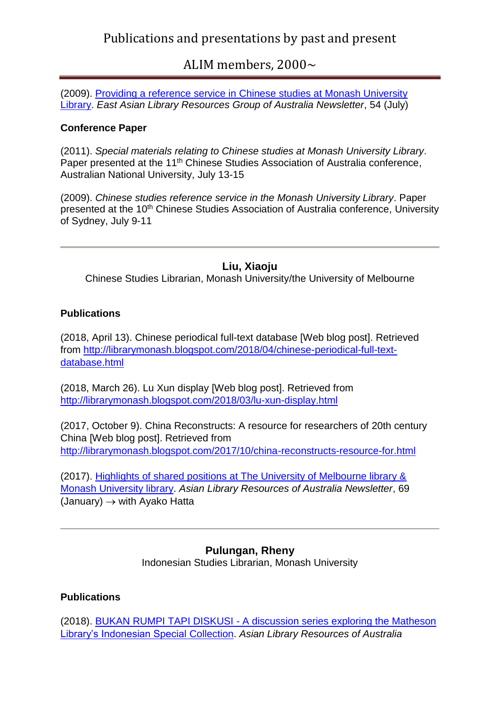## ALIM members, 2000~

(2009). [Providing a reference service in Chinese studies at Monash University](http://alra.org.au/newsletter0907/0907_kishere.html)  [Library.](http://alra.org.au/newsletter0907/0907_kishere.html) *East Asian Library Resources Group of Australia Newsletter*, 54 (July)

#### **Conference Paper**

(2011). *Special materials relating to Chinese studies at Monash University Library*. Paper presented at the 11<sup>th</sup> Chinese Studies Association of Australia conference, Australian National University, July 13-15

(2009). *Chinese studies reference service in the Monash University Library*. Paper presented at the 10<sup>th</sup> Chinese Studies Association of Australia conference, University of Sydney, July 9-11

### **Liu, Xiaoju**

Chinese Studies Librarian, Monash University/the University of Melbourne

#### **Publications**

(2018, April 13). Chinese periodical full-text database [Web blog post]. Retrieved from [http://librarymonash.blogspot.com/2018/04/chinese-periodical-full-text](http://librarymonash.blogspot.com/2018/04/chinese-periodical-full-text-database.html)[database.html](http://librarymonash.blogspot.com/2018/04/chinese-periodical-full-text-database.html)

(2018, March 26). Lu Xun display [Web blog post]. Retrieved from <http://librarymonash.blogspot.com/2018/03/lu-xun-display.html>

(2017, October 9). China Reconstructs: A resource for researchers of 20th century China [Web blog post]. Retrieved from <http://librarymonash.blogspot.com/2017/10/china-reconstructs-resource-for.html>

(2017). [Highlights of shared positions at The University of Melbourne library &](http://alra.org.au/newsletter1701/1701_liu_1.html)  [Monash University library.](http://alra.org.au/newsletter1701/1701_liu_1.html) *Asian Library Resources of Australia Newsletter*, 69  $(January) \rightarrow with Ayako Hatta$ 

> **Pulungan, Rheny** Indonesian Studies Librarian, Monash University

### **Publications**

(2018). BUKAN RUMPI TAPI DISKUSI - [A discussion series exploring the Matheson](http://alra.org.au/newsletter1807/1807_pulungan_1.pdf)  [Library's Indonesian Special Collection.](http://alra.org.au/newsletter1807/1807_pulungan_1.pdf) *Asian Library Resources of Australia*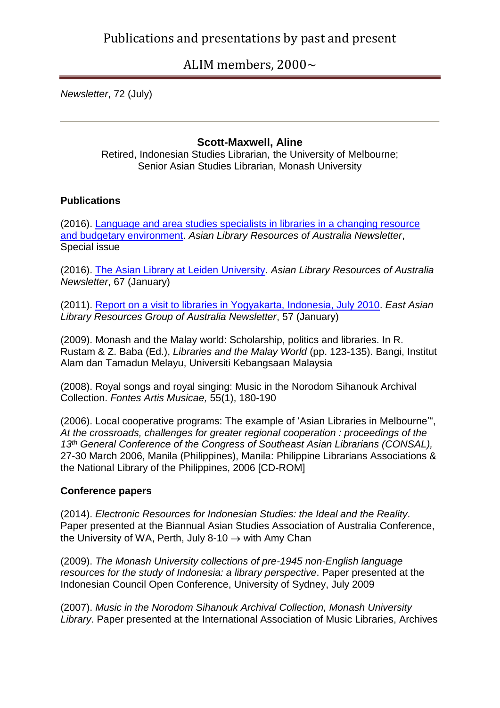### ALIM members, 2000~

*Newsletter*, 72 (July)

#### **Scott-Maxwell, Aline**

Retired, Indonesian Studies Librarian, the University of Melbourne; Senior Asian Studies Librarian, Monash University

#### **Publications**

(2016). [Language and area studies specialists in libraries in a changing resource](http://alra.org.au/newsletter1609/1609_scottmaxwell_1.html)  [and budgetary environment.](http://alra.org.au/newsletter1609/1609_scottmaxwell_1.html) *Asian Library Resources of Australia Newsletter*, Special issue

(2016). [The Asian Library at Leiden University.](http://alra.org.au/newsletter1601/1601_scottmaxwell_1.html) *Asian Library Resources of Australia Newsletter*, 67 (January)

(2011). [Report on a visit to libraries in Yogyakarta, Indonesia, July 2010.](http://alra.org.au/newsletter1101/1101_asm.html) *East Asian Library Resources Group of Australia Newsletter*, 57 (January)

(2009). Monash and the Malay world: Scholarship, politics and libraries. In R. Rustam & Z. Baba (Ed.), *Libraries and the Malay World* (pp. 123-135). Bangi, Institut Alam dan Tamadun Melayu, Universiti Kebangsaan Malaysia

(2008). Royal songs and royal singing: Music in the Norodom Sihanouk Archival Collection. *Fontes Artis Musicae,* 55(1), 180-190

(2006). Local cooperative programs: The example of 'Asian Libraries in Melbourne'", *At the crossroads, challenges for greater regional cooperation : proceedings of the 13th General Conference of the Congress of Southeast Asian Librarians (CONSAL),*  27-30 March 2006, Manila (Philippines), Manila: Philippine Librarians Associations & the National Library of the Philippines, 2006 [CD-ROM]

#### **Conference papers**

(2014). *Electronic Resources for Indonesian Studies: the Ideal and the Reality.* Paper presented at the Biannual Asian Studies Association of Australia Conference, the University of WA, Perth, July 8-10  $\rightarrow$  with Amy Chan

(2009). *The Monash University collections of pre-1945 non-English language resources for the study of Indonesia: a library perspective*. Paper presented at the Indonesian Council Open Conference, University of Sydney, July 2009

(2007). *Music in the Norodom Sihanouk Archival Collection, Monash University Library*. Paper presented at the International Association of Music Libraries, Archives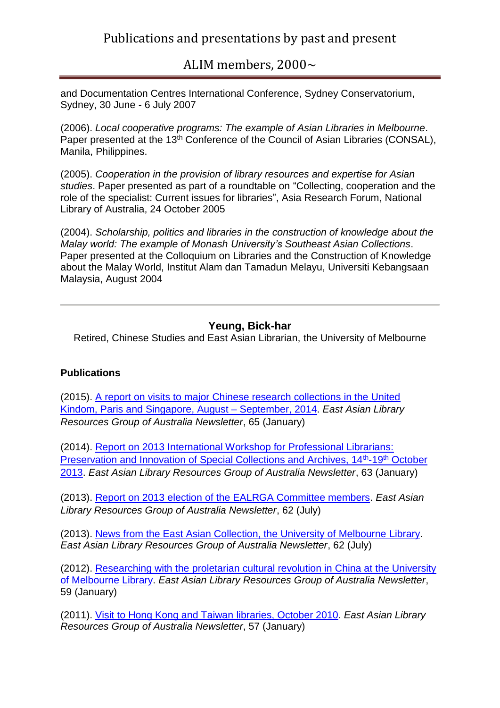ALIM members, 2000~

and Documentation Centres International Conference, Sydney Conservatorium, Sydney, 30 June - 6 July 2007

(2006). *Local cooperative programs: The example of Asian Libraries in Melbourne*. Paper presented at the 13<sup>th</sup> Conference of the Council of Asian Libraries (CONSAL), Manila, Philippines.

(2005). *Cooperation in the provision of library resources and expertise for Asian studies*. Paper presented as part of a roundtable on "Collecting, cooperation and the role of the specialist: Current issues for libraries", Asia Research Forum, National Library of Australia, 24 October 2005

(2004). *Scholarship, politics and libraries in the construction of knowledge about the Malay world: The example of Monash University's Southeast Asian Collections*. Paper presented at the Colloquium on Libraries and the Construction of Knowledge about the Malay World, Institut Alam dan Tamadun Melayu, Universiti Kebangsaan Malaysia, August 2004

### **Yeung, Bick-har**

Retired, Chinese Studies and East Asian Librarian, the University of Melbourne

#### **Publications**

(2015). [A report on visits to major Chinese research collections in the United](http://alra.org.au/newsletter1501/1501_yeung_1.html)  [Kindom, Paris and Singapore, August –](http://alra.org.au/newsletter1501/1501_yeung_1.html) September, 2014. *East Asian Library Resources Group of Australia Newsletter*, 65 (January)

(2014). [Report on 2013 International Workshop for Professional Librarians:](http://alra.org.au/newsletter1401/1401_yeung_1.html)  [Preservation and Innovation of Special Collections and Archives, 14](http://alra.org.au/newsletter1401/1401_yeung_1.html)<sup>th</sup>-19<sup>th</sup> October [2013.](http://alra.org.au/newsletter1401/1401_yeung_1.html) *East Asian Library Resources Group of Australia Newsletter*, 63 (January)

(2013). [Report on 2013 election of the EALRGA Committee members.](http://alra.org.au/newsletter1307/1307_yeung_1.html) *East Asian Library Resources Group of Australia Newsletter*, 62 (July)

(2013). [News from the East Asian Collection, the University of Melbourne Library.](http://alra.org.au/newsletter1307/1307_yeung_2.html) *East Asian Library Resources Group of Australia Newsletter*, 62 (July)

(2012). [Researching with the proletarian cultural revolution in China at the University](http://alra.org.au/newsletter1201/1201_yeung.html)  [of Melbourne Library.](http://alra.org.au/newsletter1201/1201_yeung.html) *East Asian Library Resources Group of Australia Newsletter*, 59 (January)

(2011). [Visit to Hong Kong and Taiwan libraries, October 2010.](http://alra.org.au/newsletter1101/1101_yeung_2.html) *East Asian Library Resources Group of Australia Newsletter*, 57 (January)